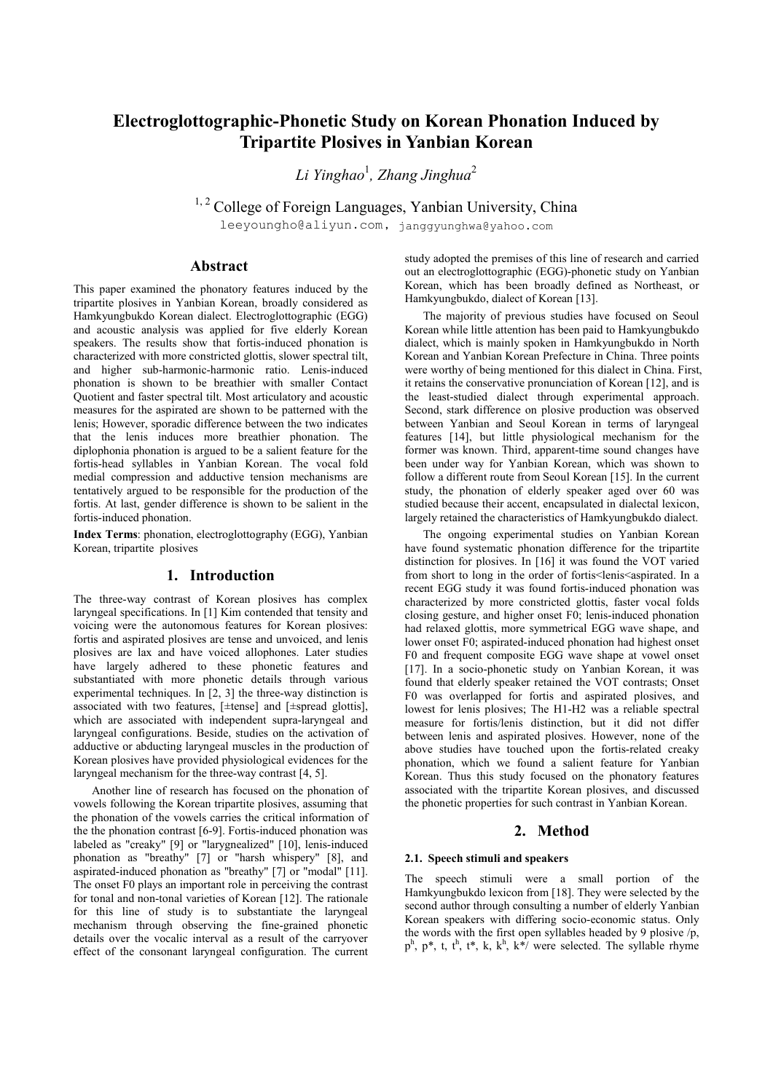# **Electroglottographic-Phonetic Study on Korean Phonation Induced by Tripartite Plosives in Yanbian Korean**

*Li Yinghao*<sup>1</sup> *, Zhang Jinghua*<sup>2</sup>

 $1, 2$  College of Foreign Languages, Yanbian University, China

leeyoungho@aliyun.com, janggyunghwa@yahoo.com

# **Abstract**

This paper examined the phonatory features induced by the tripartite plosives in Yanbian Korean, broadly considered as Hamkyungbukdo Korean dialect. Electroglottographic (EGG) and acoustic analysis was applied for five elderly Korean speakers. The results show that fortis-induced phonation is characterized with more constricted glottis, slower spectral tilt, and higher sub-harmonic-harmonic ratio. Lenis-induced phonation is shown to be breathier with smaller Contact Quotient and faster spectral tilt. Most articulatory and acoustic measures for the aspirated are shown to be patterned with the lenis; However, sporadic difference between the two indicates that the lenis induces more breathier phonation. The diplophonia phonation is argued to be a salient feature for the fortis-head syllables in Yanbian Korean. The vocal fold medial compression and adductive tension mechanisms are tentatively argued to be responsible for the production of the fortis. At last, gender difference is shown to be salient in the fortis-induced phonation.

**Index Terms**: phonation, electroglottography (EGG), Yanbian Korean, tripartite plosives

# **1. Introduction**

The three-way contrast of Korean plosives has complex laryngeal specifications. In [1] Kim contended that tensity and voicing were the autonomous features for Korean plosives: fortis and aspirated plosives are tense and unvoiced, and lenis plosives are lax and have voiced allophones. Later studies have largely adhered to these phonetic features and substantiated with more phonetic details through various experimental techniques. In [2, 3] the three-way distinction is associated with two features, [±tense] and [±spread glottis], which are associated with independent supra-laryngeal and laryngeal configurations. Beside, studies on the activation of adductive or abducting laryngeal muscles in the production of Korean plosives have provided physiological evidences for the laryngeal mechanism for the three-way contrast [4, 5].

Another line of research has focused on the phonation of vowels following the Korean tripartite plosives, assuming that the phonation of the vowels carries the critical information of the the phonation contrast [6-9]. Fortis-induced phonation was labeled as "creaky" [9] or "larygnealized" [10], lenis-induced phonation as "breathy" [7] or "harsh whispery" [8], and aspirated-induced phonation as "breathy" [7] or "modal" [11]. The onset F0 plays an important role in perceiving the contrast for tonal and non-tonal varieties of Korean [12]. The rationale for this line of study is to substantiate the laryngeal mechanism through observing the fine-grained phonetic details over the vocalic interval as a result of the carryover effect of the consonant laryngeal configuration. The current study adopted the premises of this line of research and carried out an electroglottographic (EGG)-phonetic study on Yanbian Korean, which has been broadly defined as Northeast, or Hamkyungbukdo, dialect of Korean [13].

The majority of previous studies have focused on Seoul Korean while little attention has been paid to Hamkyungbukdo dialect, which is mainly spoken in Hamkyungbukdo in North Korean and Yanbian Korean Prefecture in China. Three points were worthy of being mentioned for this dialect in China. First, it retains the conservative pronunciation of Korean [12], and is the least-studied dialect through experimental approach. Second, stark difference on plosive production was observed between Yanbian and Seoul Korean in terms of laryngeal features [14], but little physiological mechanism for the former was known. Third, apparent-time sound changes have been under way for Yanbian Korean, which was shown to follow a different route from Seoul Korean [15]. In the current study, the phonation of elderly speaker aged over 60 was studied because their accent, encapsulated in dialectal lexicon, largely retained the characteristics of Hamkyungbukdo dialect.

The ongoing experimental studies on Yanbian Korean have found systematic phonation difference for the tripartite distinction for plosives. In [16] it was found the VOT varied from short to long in the order of fortis<lenis<aspirated. In a recent EGG study it was found fortis-induced phonation was characterized by more constricted glottis, faster vocal folds closing gesture, and higher onset F0; lenis-induced phonation had relaxed glottis, more symmetrical EGG wave shape, and lower onset F0; aspirated-induced phonation had highest onset F0 and frequent composite EGG wave shape at vowel onset [17]. In a socio-phonetic study on Yanbian Korean, it was found that elderly speaker retained the VOT contrasts; Onset F0 was overlapped for fortis and aspirated plosives, and lowest for lenis plosives; The H1-H2 was a reliable spectral measure for fortis/lenis distinction, but it did not differ between lenis and aspirated plosives. However, none of the above studies have touched upon the fortis-related creaky phonation, which we found a salient feature for Yanbian Korean. Thus this study focused on the phonatory features associated with the tripartite Korean plosives, and discussed the phonetic properties for such contrast in Yanbian Korean.

### **2. Method**

### **2.1. Speech stimuli and speakers**

The speech stimuli were a small portion of the Hamkyungbukdo lexicon from [18]. They were selected by the second author through consulting a number of elderly Yanbian Korean speakers with differing socio-economic status. Only the words with the first open syllables headed by 9 plosive /p,  $p^h$ ,  $p^*$ , t,  $t^h$ ,  $t^*$ ,  $k$ ,  $k^h$ ,  $k^*/$  were selected. The syllable rhyme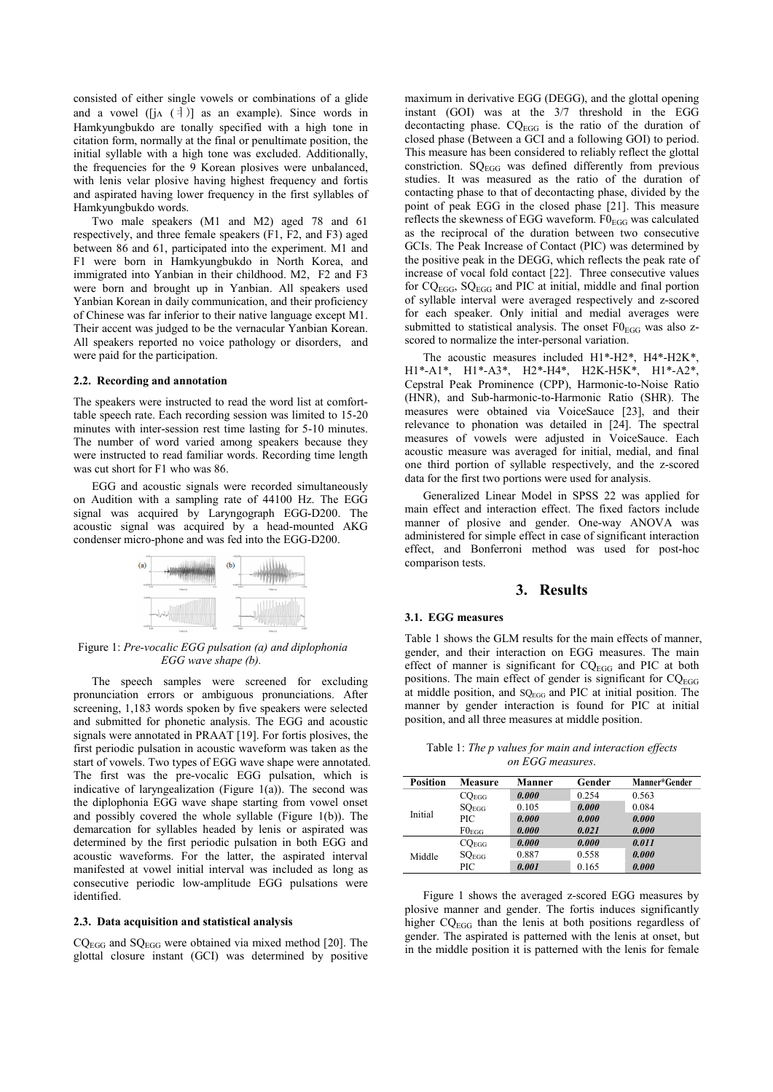consisted of either single vowels or combinations of a glide and a vowel ( $[i \land (\exists)]$  as an example). Since words in Hamkyungbukdo are tonally specified with a high tone in citation form, normally at the final or penultimate position, the initial syllable with a high tone was excluded. Additionally, the frequencies for the 9 Korean plosives were unbalanced, with lenis velar plosive having highest frequency and fortis and aspirated having lower frequency in the first syllables of Hamkyungbukdo words.

Two male speakers (M1 and M2) aged 78 and 61 respectively, and three female speakers (F1, F2, and F3) aged between 86 and 61, participated into the experiment. M1 and F1 were born in Hamkyungbukdo in North Korea, and immigrated into Yanbian in their childhood. M2, F2 and F3 were born and brought up in Yanbian. All speakers used Yanbian Korean in daily communication, and their proficiency of Chinese was far inferior to their native language except M1. Their accent was judged to be the vernacular Yanbian Korean. All speakers reported no voice pathology or disorders, and were paid for the participation.

### **2.2. Recording and annotation**

The speakers were instructed to read the word list at comforttable speech rate. Each recording session was limited to 15-20 minutes with inter-session rest time lasting for 5-10 minutes. The number of word varied among speakers because they were instructed to read familiar words. Recording time length was cut short for F1 who was 86.

EGG and acoustic signals were recorded simultaneously on Audition with a sampling rate of 44100 Hz. The EGG signal was acquired by Laryngograph EGG-D200. The acoustic signal was acquired by a head-mounted AKG condenser micro-phone and was fed into the EGG-D200.



<span id="page-1-0"></span>Figure 1: *Pre-vocalic EGG pulsation (a) and diplophonia EGG wave shape (b).* 

The speech samples were screened for excluding pronunciation errors or ambiguous pronunciations. After screening, 1,183 words spoken by five speakers were selected and submitted for phonetic analysis. The EGG and acoustic signals were annotated in PRAAT [19]. For fortis plosives, the first periodic pulsation in acoustic waveform was taken as the start of vowels. Two types of EGG wave shape were annotated. The first was the pre-vocalic EGG pulsation, which is indicative of laryngealization [\(Figure 1\(](#page-1-0)a)). The second was the diplophonia EGG wave shape starting from vowel onset and possibly covered the whole syllable [\(Figure 1\(](#page-1-0)b)). The demarcation for syllables headed by lenis or aspirated was determined by the first periodic pulsation in both EGG and acoustic waveforms. For the latter, the aspirated interval manifested at vowel initial interval was included as long as consecutive periodic low-amplitude EGG pulsations were identified.

#### **2.3. Data acquisition and statistical analysis**

 $CQ_{EGG}$  and  $SQ_{EGG}$  were obtained via mixed method [20]. The glottal closure instant (GCI) was determined by positive maximum in derivative EGG (DEGG), and the glottal opening instant (GOI) was at the 3/7 threshold in the EGG decontacting phase. CQ<sub>EGG</sub> is the ratio of the duration of closed phase (Between a GCI and a following GOI) to period. This measure has been considered to reliably reflect the glottal constriction. SQ<sub>EGG</sub> was defined differently from previous studies. It was measured as the ratio of the duration of contacting phase to that of decontacting phase, divided by the point of peak EGG in the closed phase [21]. This measure reflects the skewness of EGG waveform.  $F0_{EGG}$  was calculated as the reciprocal of the duration between two consecutive GCIs. The Peak Increase of Contact (PIC) was determined by the positive peak in the DEGG, which reflects the peak rate of increase of vocal fold contact [22]. Three consecutive values for  $CQ_{EGG}$ ,  $SQ_{EGG}$  and PIC at initial, middle and final portion of syllable interval were averaged respectively and z-scored for each speaker. Only initial and medial averages were submitted to statistical analysis. The onset  $F0_{EGG}$  was also zscored to normalize the inter-personal variation.

The acoustic measures included H1\*-H2\*, H4\*-H2K\*, H1\*-A1\*, H1\*-A3\*, H2\*-H4\*, H2K-H5K\*, H1\*-A2\*, Cepstral Peak Prominence (CPP), Harmonic-to-Noise Ratio (HNR), and Sub-harmonic-to-Harmonic Ratio (SHR). The measures were obtained via VoiceSauce [23], and their relevance to phonation was detailed in [24]. The spectral measures of vowels were adjusted in VoiceSauce. Each acoustic measure was averaged for initial, medial, and final one third portion of syllable respectively, and the z-scored data for the first two portions were used for analysis.

Generalized Linear Model in SPSS 22 was applied for main effect and interaction effect. The fixed factors include manner of plosive and gender. One-way ANOVA was administered for simple effect in case of significant interaction effect, and Bonferroni method was used for post-hoc comparison tests.

### **3. Results**

### **3.1. EGG measures**

[Table 1](#page-1-1) shows the GLM results for the main effects of manner, gender, and their interaction on EGG measures. The main effect of manner is significant for  $CQ_{EGG}$  and PIC at both positions. The main effect of gender is significant for  $CQ_{EGG}$ at middle position, and SQEGG and PIC at initial position. The manner by gender interaction is found for PIC at initial position, and all three measures at middle position.

<span id="page-1-1"></span>Table 1: *The p values for main and interaction effects on EGG measures*.

| <b>Position</b> | Measure                      | Manner | Gender | Manner*Gender |
|-----------------|------------------------------|--------|--------|---------------|
| Initial         | $CQ_{EGG}$                   | 0.000  | 0.254  | 0.563         |
|                 | $SQ_{EGG}$                   | 0.105  | 0.000  | 0.084         |
|                 | <b>PIC</b>                   | 0.000  | 0.000  | 0.000         |
|                 | $FO_{EGG}$                   | 0.000  | 0.021  | 0.000         |
| Middle          | CO <sub>EGG</sub>            | 0.000  | 0.000  | 0.011         |
|                 | $\mathrm{SQ}_{\mathrm{EGG}}$ | 0.887  | 0.558  | 0.000         |
|                 | PIC                          | 0.001  | 0.165  | 0.000         |

[Figure 1](#page-1-0) shows the averaged z-scored EGG measures by plosive manner and gender. The fortis induces significantly higher  $CQ_{EGG}$  than the lenis at both positions regardless of gender. The aspirated is patterned with the lenis at onset, but in the middle position it is patterned with the lenis for female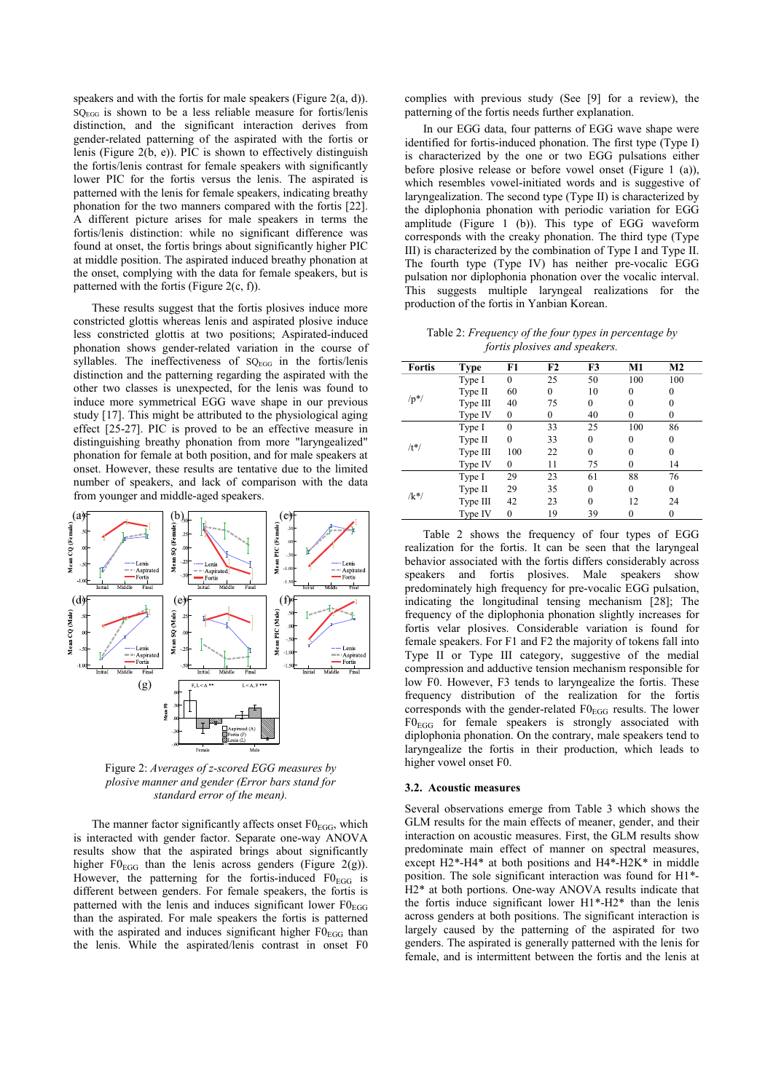speakers and with the fortis for male speakers [\(Figure 2\(](#page-2-0)a, d)).  $SQ_{EGG}$  is shown to be a less reliable measure for fortis/lenis distinction, and the significant interaction derives from gender-related patterning of the aspirated with the fortis or lenis [\(Figure 2\(](#page-2-0)b, e)). PIC is shown to effectively distinguish the fortis/lenis contrast for female speakers with significantly lower PIC for the fortis versus the lenis. The aspirated is patterned with the lenis for female speakers, indicating breathy phonation for the two manners compared with the fortis [22]. A different picture arises for male speakers in terms the fortis/lenis distinction: while no significant difference was found at onset, the fortis brings about significantly higher PIC at middle position. The aspirated induced breathy phonation at the onset, complying with the data for female speakers, but is patterned with the fortis [\(Figure 2\(](#page-2-0)c, f)).

These results suggest that the fortis plosives induce more constricted glottis whereas lenis and aspirated plosive induce less constricted glottis at two positions; Aspirated-induced phonation shows gender-related variation in the course of syllables. The ineffectiveness of SQ<sub>EGG</sub> in the fortis/lenis distinction and the patterning regarding the aspirated with the other two classes is unexpected, for the lenis was found to induce more symmetrical EGG wave shape in our previous study [17]. This might be attributed to the physiological aging effect [25-27]. PIC is proved to be an effective measure in distinguishing breathy phonation from more "laryngealized" phonation for female at both position, and for male speakers at onset. However, these results are tentative due to the limited number of speakers, and lack of comparison with the data from younger and middle-aged speakers.



<span id="page-2-0"></span>Figure 2: *Averages of z-scored EGG measures by plosive manner and gender (Error bars stand for standard error of the mean).*

The manner factor significantly affects onset  $F0_{EGG}$ , which is interacted with gender factor. Separate one-way ANOVA results show that the aspirated brings about significantly higher  $F0_{EGG}$  than the lenis across genders [\(Figure 2\(](#page-2-0)g)). However, the patterning for the fortis-induced  $F0_{EGG}$  is different between genders. For female speakers, the fortis is patterned with the lenis and induces significant lower  $F0_{EGG}$ than the aspirated. For male speakers the fortis is patterned with the aspirated and induces significant higher  $F0_{EGG}$  than the lenis. While the aspirated/lenis contrast in onset F0

complies with previous study (See [9] for a review), the patterning of the fortis needs further explanation.

In our EGG data, four patterns of EGG wave shape were identified for fortis-induced phonation. The first type (Type I) is characterized by the one or two EGG pulsations either before plosive release or before vowel onset [\(Figure 1](#page-1-0) (a)), which resembles vowel-initiated words and is suggestive of laryngealization. The second type (Type II) is characterized by the diplophonia phonation with periodic variation for EGG amplitude [\(Figure 1](#page-1-0) (b)). This type of EGG waveform corresponds with the creaky phonation. The third type (Type III) is characterized by the combination of Type I and Type II. The fourth type (Type IV) has neither pre-vocalic EGG pulsation nor diplophonia phonation over the vocalic interval. This suggests multiple laryngeal realizations for the production of the fortis in Yanbian Korean.

<span id="page-2-1"></span>Table 2: *Frequency of the four types in percentage by fortis plosives and speakers.* 

| Fortis   | Type     | F1       | F <sub>2</sub> | F3       | M1       | $\bf M2$ |
|----------|----------|----------|----------------|----------|----------|----------|
| $/p^*/$  | Type I   | $\theta$ | 25             | 50       | 100      | 100      |
|          | Type II  | 60       | 0              | 10       | $\theta$ | $\theta$ |
|          | Type III | 40       | 75             | 0        | 0        | 0        |
|          | Type IV  | $\theta$ | 0              | 40       | 0        | 0        |
| $/t^{*}$ | Type I   | $\theta$ | 33             | 25       | 100      | 86       |
|          | Type II  | $\theta$ | 33             | $\Omega$ | $\Omega$ | 0        |
|          | Type III | 100      | 22             | $\theta$ | $\Omega$ | $\theta$ |
|          | Type IV  | $\theta$ | 11             | 75       | 0        | 14       |
| $/k*/$   | Type I   | 29       | 23             | 61       | 88       | 76       |
|          | Type II  | 29       | 35             | $\Omega$ | $\theta$ | $\theta$ |
|          | Type III | 42       | 23             | $\Omega$ | 12       | 24       |
|          | Type IV  | $\theta$ | 19             | 39       | 0        | $\theta$ |

[Table 2](#page-2-1) shows the frequency of four types of EGG realization for the fortis. It can be seen that the laryngeal behavior associated with the fortis differs considerably across speakers and fortis plosives. Male speakers show predominately high frequency for pre-vocalic EGG pulsation, indicating the longitudinal tensing mechanism [28]; The frequency of the diplophonia phonation slightly increases for fortis velar plosives. Considerable variation is found for female speakers. For F1 and F2 the majority of tokens fall into Type II or Type III category, suggestive of the medial compression and adductive tension mechanism responsible for low F0. However, F3 tends to laryngealize the fortis. These frequency distribution of the realization for the fortis corresponds with the gender-related  $F0_{EGG}$  results. The lower  $FO_{EGG}$  for female speakers is strongly associated with diplophonia phonation. On the contrary, male speakers tend to laryngealize the fortis in their production, which leads to higher vowel onset F0.

#### **3.2. Acoustic measures**

Several observations emerge from [Table 3](#page-3-0) which shows the GLM results for the main effects of meaner, gender, and their interaction on acoustic measures. First, the GLM results show predominate main effect of manner on spectral measures, except H2\*-H4\* at both positions and H4\*-H2K\* in middle position. The sole significant interaction was found for H1\*- H2\* at both portions. One-way ANOVA results indicate that the fortis induce significant lower H1\*-H2\* than the lenis across genders at both positions. The significant interaction is largely caused by the patterning of the aspirated for two genders. The aspirated is generally patterned with the lenis for female, and is intermittent between the fortis and the lenis at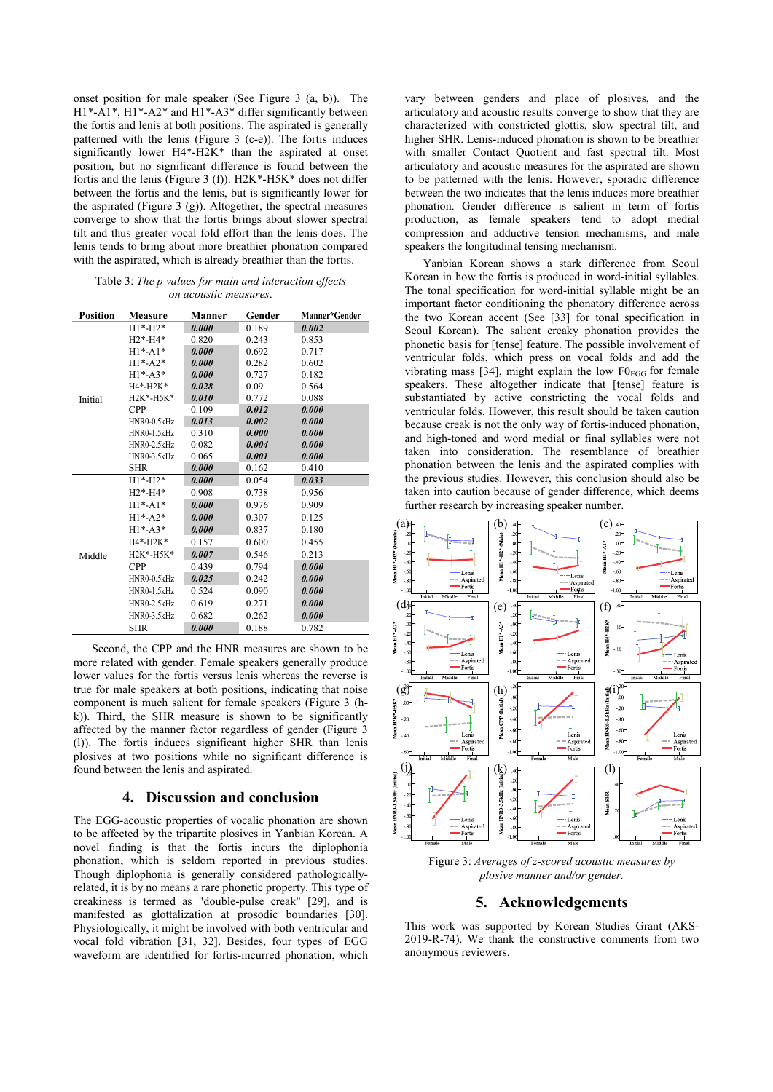onset position for male speaker (See [Figure 3](#page-3-1) (a, b)). The H1\*-A1\*, H1\*-A2\* and H1\*-A3\* differ significantly between the fortis and lenis at both positions. The aspirated is generally patterned with the lenis [\(Figure 3](#page-3-1) (c-e)). The fortis induces significantly lower H4\*-H2K\* than the aspirated at onset position, but no significant difference is found between the fortis and the lenis [\(Figure 3](#page-3-1) (f)). H2K\*-H5K\* does not differ between the fortis and the lenis, but is significantly lower for the aspirated [\(Figure 3](#page-3-1) (g)). Altogether, the spectral measures converge to show that the fortis brings about slower spectral tilt and thus greater vocal fold effort than the lenis does. The lenis tends to bring about more breathier phonation compared with the aspirated, which is already breathier than the fortis.

<span id="page-3-0"></span>Table 3: *The p values for main and interaction effects on acoustic measures*.

| <b>Position</b> | Measure         | Manner | Gender | Manner*Gender |
|-----------------|-----------------|--------|--------|---------------|
|                 | $H1* - H2*$     | 0.000  | 0.189  | 0.002         |
|                 | $H2*-H4*$       | 0.820  | 0.243  | 0.853         |
|                 | $H1*-A1*$       | 0.000  | 0.692  | 0.717         |
|                 | $H1*-A2*$       | 0.000  | 0.282  | 0.602         |
|                 | $H1*-A3*$       | 0.000  | 0.727  | 0.182         |
|                 | $H4*-H2K*$      | 0.028  | 0.09   | 0.564         |
| Initial         | $H2K*-H5K*$     | 0.010  | 0.772  | 0.088         |
|                 | <b>CPP</b>      | 0.109  | 0.012  | 0.000         |
|                 | $HNR0-0.5kHz$   | 0.013  | 0.002  | 0.000         |
|                 | $HNR0-1.5kHz$   | 0.310  | 0.000  | 0.000         |
|                 | $HNR0 - 2.5kHz$ | 0.082  | 0.004  | 0.000         |
|                 | $HNR0-3.5kHz$   | 0.065  | 0.001  | 0.000         |
|                 | <b>SHR</b>      | 0.000  | 0.162  | 0.410         |
|                 | $H1*-H2*$       | 0.000  | 0.054  | 0.033         |
|                 | $H2*-H4*$       | 0.908  | 0.738  | 0.956         |
|                 | $H1*-A1*$       | 0.000  | 0.976  | 0.909         |
|                 | $H1*-A2*$       | 0.000  | 0.307  | 0.125         |
|                 | $H1*-A3*$       | 0.000  | 0.837  | 0.180         |
|                 | $H4*-H2K*$      | 0.157  | 0.600  | 0.455         |
| Middle          | $H2K*-H5K*$     | 0.007  | 0.546  | 0.213         |
|                 | <b>CPP</b>      | 0.439  | 0.794  | 0.000         |
|                 | $HNR0-0.5kHz$   | 0.025  | 0.242  | 0.000         |
|                 | HNR0-1.5kHz     | 0.524  | 0.090  | 0.000         |
|                 | HNR0-2.5kHz     | 0.619  | 0.271  | 0.000         |
|                 | $HNR0-3.5kHz$   | 0.682  | 0.262  | 0.000         |
|                 | <b>SHR</b>      | 0.000  | 0.188  | 0.782         |

Second, the CPP and the HNR measures are shown to be more related with gender. Female speakers generally produce lower values for the fortis versus lenis whereas the reverse is true for male speakers at both positions, indicating that noise component is much salient for female speakers [\(Figure 3](#page-3-1) (hk)). Third, the SHR measure is shown to be significantly affected by the manner factor regardless of gender [\(Figure 3](#page-3-1) (l)). The fortis induces significant higher SHR than lenis plosives at two positions while no significant difference is found between the lenis and aspirated.

# **4. Discussion and conclusion**

The EGG-acoustic properties of vocalic phonation are shown to be affected by the tripartite plosives in Yanbian Korean. A novel finding is that the fortis incurs the diplophonia phonation, which is seldom reported in previous studies. Though diplophonia is generally considered pathologicallyrelated, it is by no means a rare phonetic property. This type of creakiness is termed as "double-pulse creak" [29], and is manifested as glottalization at prosodic boundaries [30]. Physiologically, it might be involved with both ventricular and vocal fold vibration [31, 32]. Besides, four types of EGG waveform are identified for fortis-incurred phonation, which

vary between genders and place of plosives, and the articulatory and acoustic results converge to show that they are characterized with constricted glottis, slow spectral tilt, and higher SHR. Lenis-induced phonation is shown to be breathier with smaller Contact Quotient and fast spectral tilt. Most articulatory and acoustic measures for the aspirated are shown to be patterned with the lenis. However, sporadic difference between the two indicates that the lenis induces more breathier phonation. Gender difference is salient in term of fortis production, as female speakers tend to adopt medial compression and adductive tension mechanisms, and male speakers the longitudinal tensing mechanism.

Yanbian Korean shows a stark difference from Seoul Korean in how the fortis is produced in word-initial syllables. The tonal specification for word-initial syllable might be an important factor conditioning the phonatory difference across the two Korean accent (See [33] for tonal specification in Seoul Korean). The salient creaky phonation provides the phonetic basis for [tense] feature. The possible involvement of ventricular folds, which press on vocal folds and add the vibrating mass [34], might explain the low  $F0_{EGG}$  for female speakers. These altogether indicate that [tense] feature is substantiated by active constricting the vocal folds and ventricular folds. However, this result should be taken caution because creak is not the only way of fortis-induced phonation, and high-toned and word medial or final syllables were not taken into consideration. The resemblance of breathier phonation between the lenis and the aspirated complies with the previous studies. However, this conclusion should also be taken into caution because of gender difference, which deems further research by increasing speaker number.



<span id="page-3-1"></span>Figure 3: *Averages of z-scored acoustic measures by plosive manner and/or gender.*

# **5. Acknowledgements**

This work was supported by Korean Studies Grant (AKS-2019-R-74). We thank the constructive comments from two anonymous reviewers.